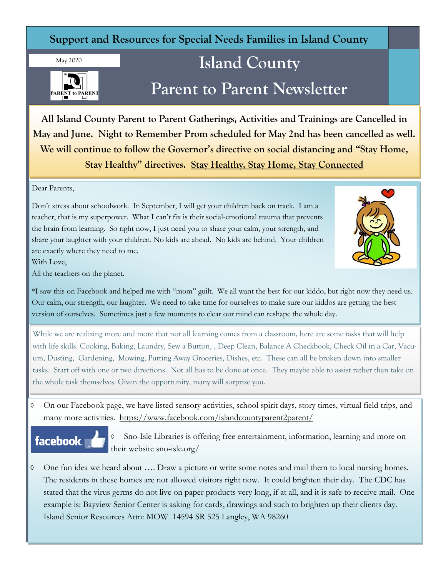## **Support and Resources for Special Needs Families in Island County**

May 2020



# **Island County Parent to Parent Newsletter**

**All Island County Parent to Parent Gatherings, Activities and Trainings are Cancelled in May and June. Night to Remember Prom scheduled for May 2nd has been cancelled as well. We will continue to follow the Governor's directive on social distancing and "Stay Home, Stay Healthy" directives. Stay Healthy, Stay Home, Stay Connected**

Dear Parents,

Don't stress about schoolwork. In September, I will get your children back on track. I am a teacher, that is my superpower. What I can't fix is their social-emotional trauma that prevents the brain from learning. So right now, I just need you to share your calm, your strength, and share your laughter with your children. No kids are ahead. No kids are behind. Your children are exactly where they need to me.



With Love,

All the teachers on the planet.

\*I saw this on Facebook and helped me with "mom" guilt. We all want the best for our kiddo, but right now they need us. Our calm, our strength, our laughter. We need to take time for ourselves to make sure our kiddos are getting the best version of ourselves. Sometimes just a few moments to clear our mind can reshape the whole day.

While we are realizing more and more that not all learning comes from a classroom, here are some tasks that will help with life skills. Cooking, Baking, Laundry, Sew a Button, , Deep Clean, Balance A Checkbook, Check Oil in a Car, Vacuum, Dusting, Gardening, Mowing, Putting Away Groceries, Dishes, etc. These can all be broken down into smaller tasks. Start off with one or two directions. Not all has to be done at once. They maybe able to assist rather than take on the whole task themselves. Given the opportunity, many will surprise you.

 On our Facebook page, we have listed sensory activities, school spirit days, story times, virtual field trips, and many more activities. <https://www.facebook.com/islandcountyparent2parent/>



 Sno-Isle Libraries is offering free entertainment, information, learning and more on their website sno-isle.org/

 One fun idea we heard about …. Draw a picture or write some notes and mail them to local nursing homes. The residents in these homes are not allowed visitors right now. It could brighten their day. The CDC has stated that the virus germs do not live on paper products very long, if at all, and it is safe to receive mail. One example is: Bayview Senior Center is asking for cards, drawings and such to brighten up their clients day. Island Senior Resources Attn: MOW 14594 SR 525 Langley, WA 98260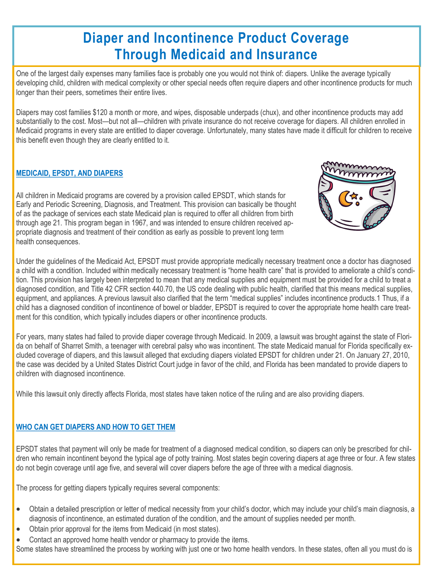# **Diaper and Incontinence Product Coverage Through Medicaid and Insurance**

One of the largest daily expenses many families face is probably one you would not think of: diapers. Unlike the average typically developing child, children with medical complexity or other special needs often require diapers and other incontinence products for much longer than their peers, sometimes their entire lives.

Diapers may cost families \$120 a month or more, and wipes, disposable underpads (chux), and other incontinence products may add substantially to the cost. Most—but not all—children with private insurance do not receive coverage for diapers. All children enrolled in Medicaid programs in every state are entitled to diaper coverage. Unfortunately, many states have made it difficult for children to receive this benefit even though they are clearly entitled to it.

#### **MEDICAID, EPSDT, AND DIAPERS**

All children in Medicaid programs are covered by a provision called EPSDT, which stands for Early and Periodic Screening, Diagnosis, and Treatment. This provision can basically be thought of as the package of services each state Medicaid plan is required to offer all children from birth through age 21. This program began in 1967, and was intended to ensure children received appropriate diagnosis and treatment of their condition as early as possible to prevent long term health consequences.



Under the guidelines of the Medicaid Act, EPSDT must provide appropriate medically necessary treatment once a doctor has diagnosed a child with a condition. Included within medically necessary treatment is "home health care" that is provided to ameliorate a child's condition. This provision has largely been interpreted to mean that any medical supplies and equipment must be provided for a child to treat a diagnosed condition, and Title 42 CFR section 440.70, the US code dealing with public health, clarified that this means medical supplies, equipment, and appliances. A previous lawsuit also clarified that the term "medical supplies" includes incontinence products.1 Thus, if a child has a diagnosed condition of incontinence of bowel or bladder, EPSDT is required to cover the appropriate home health care treatment for this condition, which typically includes diapers or other incontinence products.

For years, many states had failed to provide diaper coverage through Medicaid. In 2009, a lawsuit was brought against the state of Florida on behalf of Sharret Smith, a teenager with cerebral palsy who was incontinent. The state Medicaid manual for Florida specifically excluded coverage of diapers, and this lawsuit alleged that excluding diapers violated EPSDT for children under 21. On January 27, 2010, the case was decided by a United States District Court judge in favor of the child, and Florida has been mandated to provide diapers to children with diagnosed incontinence.

While this lawsuit only directly affects Florida, most states have taken notice of the ruling and are also providing diapers.

#### **WHO CAN GET DIAPERS AND HOW TO GET THEM**

EPSDT states that payment will only be made for treatment of a diagnosed medical condition, so diapers can only be prescribed for children who remain incontinent beyond the typical age of potty training. Most states begin covering diapers at age three or four. A few states do not begin coverage until age five, and several will cover diapers before the age of three with a medical diagnosis.

The process for getting diapers typically requires several components:

- Obtain a detailed prescription or letter of medical necessity from your child's doctor, which may include your child's main diagnosis, a diagnosis of incontinence, an estimated duration of the condition, and the amount of supplies needed per month.
- Obtain prior approval for the items from Medicaid (in most states).
- Contact an approved home health vendor or pharmacy to provide the items.

Some states have streamlined the process by working with just one or two home health vendors. In these states, often all you must do is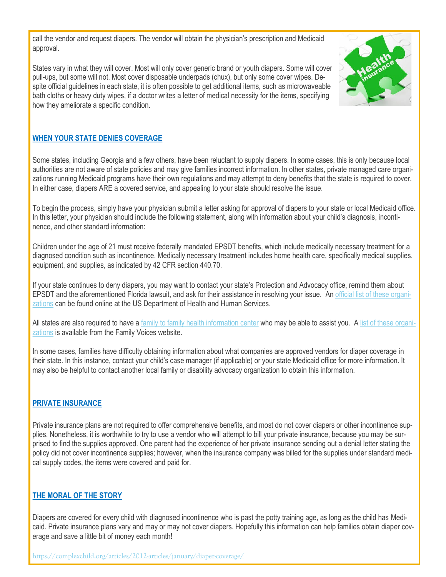call the vendor and request diapers. The vendor will obtain the physician's prescription and Medicaid approval.

States vary in what they will cover. Most will only cover generic brand or youth diapers. Some will cover pull-ups, but some will not. Most cover disposable underpads (chux), but only some cover wipes. Despite official guidelines in each state, it is often possible to get additional items, such as microwaveable bath cloths or heavy duty wipes, if a doctor writes a letter of medical necessity for the items, specifying how they ameliorate a specific condition.



#### **WHEN YOUR STATE DENIES COVERAGE**

Some states, including Georgia and a few others, have been reluctant to supply diapers. In some cases, this is only because local authorities are not aware of state policies and may give families incorrect information. In other states, private managed care organizations running Medicaid programs have their own regulations and may attempt to deny benefits that the state is required to cover. In either case, diapers ARE a covered service, and appealing to your state should resolve the issue.

To begin the process, simply have your physician submit a letter asking for approval of diapers to your state or local Medicaid office. In this letter, your physician should include the following statement, along with information about your child's diagnosis, incontinence, and other standard information:

Children under the age of 21 must receive federally mandated EPSDT benefits, which include medically necessary treatment for a diagnosed condition such as incontinence. Medically necessary treatment includes home health care, specifically medical supplies, equipment, and supplies, as indicated by 42 CFR section 440.70.

If your state continues to deny diapers, you may want to contact your state's Protection and Advocacy office, remind them about EPSDT and the aforementioned Florida lawsuit, and ask for their assistance in resolving your issue. An [official list of these organi](https://acl.gov/programs/aging-and-disability-networks/state-protection-advocacy-systems)[zations](https://acl.gov/programs/aging-and-disability-networks/state-protection-advocacy-systems) can be found online at the US Department of Health and Human Services.

All states are also required to have a [family to family health information center](https://familyvoices.org/affiliates/) who may be able to assist you. A [list of these organi](https://familyvoices.org/affiliates/)[zations](https://familyvoices.org/affiliates/) is available from the Family Voices website.

In some cases, families have difficulty obtaining information about what companies are approved vendors for diaper coverage in their state. In this instance, contact your child's case manager (if applicable) or your state Medicaid office for more information. It may also be helpful to contact another local family or disability advocacy organization to obtain this information.

#### **PRIVATE INSURANCE**

Private insurance plans are not required to offer comprehensive benefits, and most do not cover diapers or other incontinence supplies. Nonetheless, it is worthwhile to try to use a vendor who will attempt to bill your private insurance, because you may be surprised to find the supplies approved. One parent had the experience of her private insurance sending out a denial letter stating the policy did not cover incontinence supplies; however, when the insurance company was billed for the supplies under standard medical supply codes, the items were covered and paid for.

#### **THE MORAL OF THE STORY**

Diapers are covered for every child with diagnosed incontinence who is past the potty training age, as long as the child has Medicaid. Private insurance plans vary and may or may not cover diapers. Hopefully this information can help families obtain diaper coverage and save a little bit of money each month!

<https://complexchild.org/articles/2012-articles/january/diaper-coverage/>